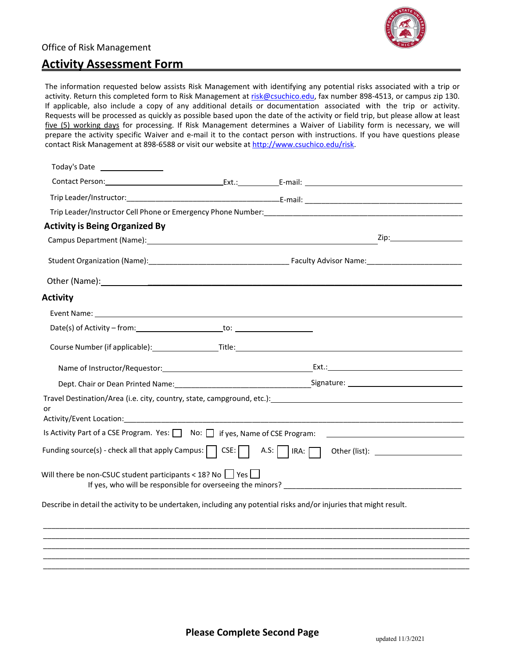# Office of Risk Management



# **Activity Assessment Form**

The information requested below assists Risk Management with identifying any potential risks associated with a trip or activity. Return this completed form to Risk Management at [risk@csuchico.edu, f](mailto:risk@csuchico.edu)ax number 898-4513, or campus zip 130. If applicable, also include a copy of any additional details or documentation associated with the trip or activity. Requests will be processed as quickly as possible based upon the date of the activity or field trip, but please allow at least five (5) working days for processing. If Risk Management determines a Waiver of Liability form is necessary, we will prepare the activity specific Waiver and e-mail it to the contact person with instructions. If [you have questions please](http://www.csuchico.edu/risk)  contact Risk Management at 898-6588 or visit our website at [http://www.csuchico.edu/risk.](http://www.csuchico.edu/risk)

| Today's Date                                                                                                         |                                                                                    |  |
|----------------------------------------------------------------------------------------------------------------------|------------------------------------------------------------------------------------|--|
|                                                                                                                      |                                                                                    |  |
|                                                                                                                      |                                                                                    |  |
|                                                                                                                      |                                                                                    |  |
| <b>Activity is Being Organized By</b>                                                                                |                                                                                    |  |
|                                                                                                                      |                                                                                    |  |
|                                                                                                                      |                                                                                    |  |
|                                                                                                                      |                                                                                    |  |
| <b>Activity</b>                                                                                                      |                                                                                    |  |
|                                                                                                                      |                                                                                    |  |
|                                                                                                                      |                                                                                    |  |
|                                                                                                                      | Course Number (if applicable): Title: Title: Title: Course Number (if applicable): |  |
|                                                                                                                      |                                                                                    |  |
|                                                                                                                      |                                                                                    |  |
| Travel Destination/Area (i.e. city, country, state, campground, etc.): Travel Controller and Controller and Co<br>or |                                                                                    |  |
|                                                                                                                      |                                                                                    |  |
|                                                                                                                      |                                                                                    |  |
| Will there be non-CSUC student participants < 18? No $\Box$ Yes                                                      |                                                                                    |  |
| Describe in detail the activity to be undertaken, including any potential risks and/or injuries that might result.   |                                                                                    |  |
|                                                                                                                      |                                                                                    |  |
|                                                                                                                      |                                                                                    |  |
|                                                                                                                      |                                                                                    |  |
|                                                                                                                      |                                                                                    |  |